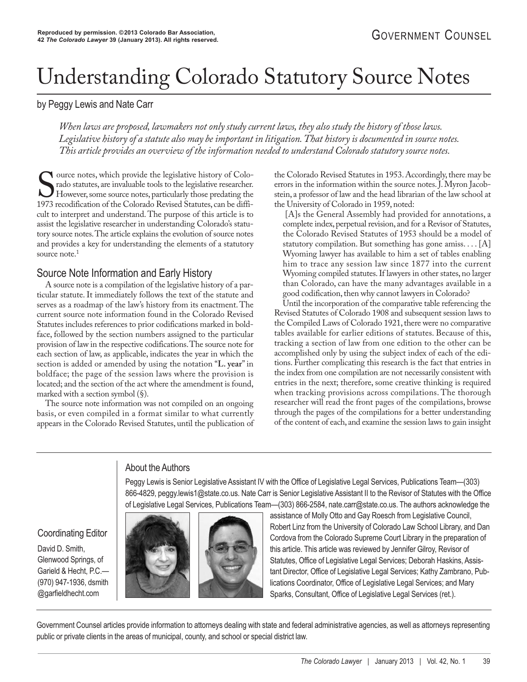# Understanding Colorado Statutory Source Notes

by Peggy Lewis and Nate Carr

*When laws are proposed, lawmakers not only study current laws, they also study the history of those laws. Legislative history of a statute also may be important in litigation. That history is documented in source notes. This article provides an overview of the information needed to understand Colorado statutory source notes.*

Source notes, which provide the legislative history of Colo-<br>
rado statutes, are invaluable tools to the legislative researcher.<br>
However, some source notes, particularly those predating the<br>
1973 recodification of the Col rado statutes, are invaluable tools to the legislative researcher. However, some source notes, particularly those predating the 1973 recodification of the Colorado Revised Statutes, can be difficult to interpret and understand. The purpose of this article is to assist the legislative researcher in understanding Colorado's statutory source notes. The article explains the evolution of source notes and provides a key for understanding the elements of a statutory source note.<sup>1</sup>

## Source Note Information and Early History

A source note is a compilation of the legislative history of a particular statute. It immediately follows the text of the statute and serves as a roadmap of the law's history from its enactment. The current source note information found in the Colorado Revised Statutes includes references to prior codifications marked in boldface, followed by the section numbers assigned to the particular provision of law in the respective codifications. The source note for each section of law, as applicable, indicates the year in which the section is added or amended by using the notation "**L. year**" in boldface; the page of the session laws where the provision is located; and the section of the act where the amendment is found, marked with a section symbol (§).

The source note information was not compiled on an ongoing basis, or even compiled in a format similar to what currently appears in the Colorado Revised Statutes, until the publication of the Colorado Revised Statutes in 1953. Accordingly, there may be errors in the information within the source notes. J. Myron Jacobstein, a professor of law and the head librarian of the law school at the University of Colorado in 1959, noted:

[A]s the General Assembly had provided for annotations, a complete index, perpetual revision, and for a Revisor of Statutes, the Colorado Revised Statutes of 1953 should be a model of statutory compilation. But something has gone amiss....  $[A]$ Wyoming lawyer has available to him a set of tables enabling him to trace any session law since 1877 into the current Wyoming compiled statutes. If lawyers in other states, no larger than Colorado, can have the many advantages available in a good codification, then why cannot lawyers in Colorado?

Until the incorporation of the comparative table referencing the Revised Statutes of Colorado 1908 and subsequent session laws to the Compiled Laws of Colorado 1921, there were no comparative tables available for earlier editions of statutes. Because of this, tracking a section of law from one edition to the other can be accomplished only by using the subject index of each of the editions. Further complicating this research is the fact that entries in the index from one compilation are not necessarily consistent with entries in the next; therefore, some creative thinking is required when tracking provisions across compilations. The thorough researcher will read the front pages of the compilations, browse through the pages of the compilations for a better understanding of the content of each, and examine the session laws to gain insight

## About the Authors

Peggy Lewis is Senior Legislative Assistant IV with the Office of Legislative Legal Services, Publications Team—(303) 866-4829, peggy.lewis1@state.co.us. Nate Carr is Senior Legislative Assistant II to the Revisor of Statutes with the Office of Legislative Legal Services, Publications Team—(303) 866-2584, nate.carr@state.co.us. The authors acknowledge the

Coordinating Editor

David D. Smith, Glen wood Springs, of Garield & Hecht, P.C.-(970) 947-1936, dsmith @garfieldhecht.com



assistance of Molly Otto and Gay Roesch from Legislative Council, Robert Linz from the University of Colorado Law School Library, and Dan Cordova from the Colorado Supreme Court Library in the preparation of this article. This article was reviewed by Jennifer Gilroy, Revisor of Statutes, Office of Legislative Legal Services; Deborah Haskins, Assistant Director, Office of Legislative Legal Services; Kathy Zambrano, Publications Coordinator, Office of Legislative Legal Services; and Mary Sparks, Consultant, Office of Legislative Legal Services (ret.).

Government Counsel articles provide information to attorneys dealing with state and federal administrative agencies, as well as attorneys representing public or private clients in the areas of municipal, county, and school or special district law.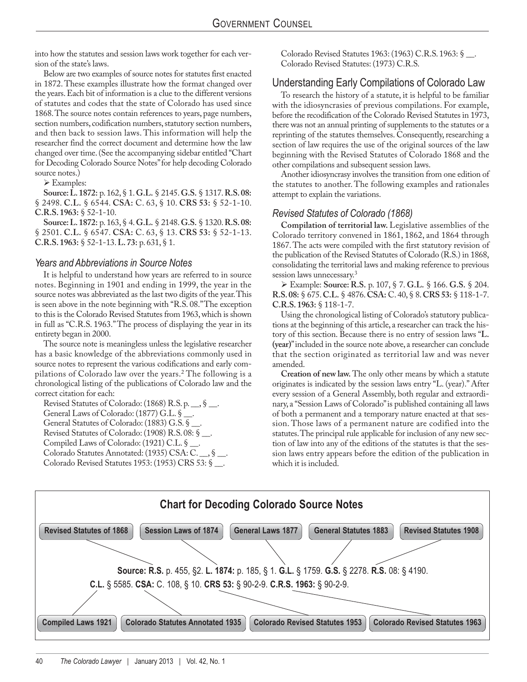into how the statutes and session laws work together for each version of the state's laws.

Below are two examples of source notes for statutes first enacted in 1872. These examples illustrate how the format changed over the years. Each bit of information is a clue to the different versions of statutes and codes that the state of Colorado has used since 1868. The source notes contain references to years, page numbers, section numbers, codification numbers, statutory section numbers, and then back to session laws. This information will help the researcher find the correct document and determine how the law changed over time. (See the accompanying sidebar entitled "Chart for Decoding Colorado Source Notes" for help decoding Colorado source notes.)

Examples:

**Source: L. 1872:** p. 162, § 1. **G.L.** § 2145. **G.S.** § 1317. **R.S. 08:** § 2498. **C.L.** § 6544. **CSA:** C. 63, § 10. **CRS 53:** § 52-1-10. **C.R.S. 1963:** § 52-1-10.

**Source: L. 1872:** p. 163, § 4. **G.L.** § 2148. **G.S.** § 1320. **R.S. 08:** § 2501. **C.L.** § 6547. **CSA:** C. 63, § 13. **CRS 53:** § 52-1-13. **C.R.S. 1963:** § 52-1-13. **L. 73:** p. 631, § 1.

#### *Years and Abbreviations in Source Notes*

It is helpful to understand how years are referred to in source notes. Beginning in 1901 and ending in 1999, the year in the source notes was abbreviated as the last two digits of the year. This is seen above in the note beginning with "R.S. 08." The exception to this is the Colorado Revised Statutes from 1963, which is shown in full as "C.R.S. 1963." The process of displaying the year in its entirety began in 2000.

The source note is meaningless unless the legislative researcher has a basic knowledge of the abbreviations commonly used in source notes to represent the various codifications and early compilations of Colorado law over the years.2 The following is a chronological listing of the publications of Colorado law and the correct citation for each:

Revised Statutes of Colorado: (1868) R.S. p. \_\_, § \_\_. General Laws of Colorado: (1877) G.L. § \_\_. General Statutes of Colorado: (1883) G.S. § \_\_. Revised Statutes of Colorado: (1908) R.S. 08: § \_\_. Compiled Laws of Colorado: (1921) C.L. § \_\_. Colorado Statutes Annotated: (1935) CSA: C. \_\_, § \_\_. Colorado Revised Statutes 1953: (1953) CRS 53: § \_\_.

Colorado Revised Statutes 1963: (1963) C.R.S. 1963: § \_\_. Colorado Revised Statutes: (1973) C.R.S.

## Understanding Early Compilations of Colorado Law

To research the history of a statute, it is helpful to be familiar with the idiosyncrasies of previous compilations. For example, before the recodification of the Colorado Revised Statutes in 1973, there was not an annual printing of supplements to the statutes or a reprinting of the statutes themselves. Consequently, researching a section of law requires the use of the original sources of the law beginning with the Revised Statutes of Colorado 1868 and the other compilations and subsequent session laws.

Another idiosyncrasy involves the transition from one edition of the statutes to another. The following examples and rationales attempt to explain the variations.

#### *Revised Statutes of Colorado (1868)*

**Compilation of territorial law.** Legislative assemblies of the Colorado territory convened in 1861, 1862, and 1864 through 1867. The acts were compiled with the first statutory revision of the publication of the Revised Statutes of Colorado (R.S.) in 1868, consolidating the territorial laws and making reference to previous session laws unnecessary.<sup>3</sup>

 Example: **Source: R.S.** p. 107, § 7. **G.L.** § 166. **G.S.** § 204. **R.S. 08:** § 675. **C.L.** § 4876. **CSA:** C. 40, § 8. **CRS 53:** § 118-1-7. **C.R.S. 1963:** § 118-1-7.

Using the chronological listing of Colorado's statutory publications at the beginning of this article, a researcher can track the history of this section. Because there is no entry of session laws "**L. (year)**" included in the source note above, a researcher can conclude that the section originated as territorial law and was never amended.

**Creation of new law.** The only other means by which a statute originates is indicated by the session laws entry "L. (year)." After every session of a General Assembly, both regular and extraordinary, a "Session Laws of Colorado" is published containing all laws of both a permanent and a temporary nature enacted at that session. Those laws of a permanent nature are codified into the statutes. The principal rule applicable for inclusion of any new section of law into any of the editions of the statutes is that the session laws entry appears before the edition of the publication in which it is included.

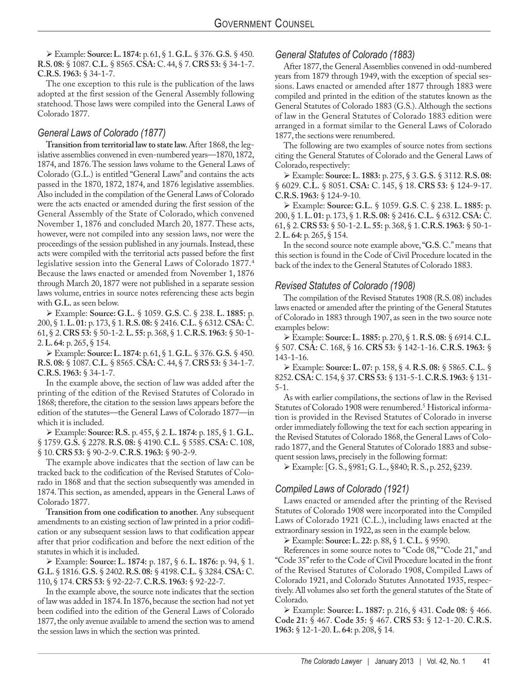Example: **Source: L. 1874:** p. 61, § 1. **G.L.** § 376. **G.S.** § 450. **R.S. 08:** § 1087. **C.L.** § 8565. **CSA:** C. 44, § 7. **CRS 53:** § 34-1-7. **C.R.S. 1963:** § 34-1-7.

The one exception to this rule is the publication of the laws adopted at the first session of the General Assembly following statehood. Those laws were compiled into the General Laws of Colorado 1877.

#### *General Laws of Colorado (1877)*

**Transition from territorial law to state law.** After 1868, the legislative assemblies convened in even-numbered years—1870, 1872, 1874, and 1876. The session laws volume to the General Laws of Colorado (G.L.) is entitled "General Laws" and contains the acts passed in the 1870, 1872, 1874, and 1876 legislative assemblies. Also included in the compilation of the General Laws of Colorado were the acts enacted or amended during the first session of the General Assembly of the State of Colorado, which convened November 1, 1876 and concluded March 20, 1877. These acts, however, were not compiled into any session laws, nor were the proceedings of the session published in any journals. Instead, these acts were compiled with the territorial acts passed before the first legislative session into the General Laws of Colorado 1877.4 Because the laws enacted or amended from November 1, 1876 through March 20, 1877 were not published in a separate session laws volume, entries in source notes referencing these acts begin with **G.L.** as seen below.

 Example: **Source: G.L.** § 1059. **G.S**. C. § 238. **L. 1885:** p. 200, § 1. **L. 01:** p. 173, § 1. **R.S. 08:** § 2416. **C.L.** § 6312. **CSA:** C. 61, § 2. **CRS 53:** § 50-1-2. **L. 55:** p. 368, § 1. **C.R.S. 1963:** § 50-1- 2. **L. 64:** p. 265, § 154.

 Example: **Source: L. 1874:** p. 61, § 1. **G.L.** § 376. **G.S.** § 450. **R.S. 08:** § 1087. **C.L.** § 8565. **CSA:** C. 44, § 7. **CRS 53:** § 34-1-7. **C.R.S. 1963:** § 34-1-7.

In the example above, the section of law was added after the printing of the edition of the Revised Statutes of Colorado in 1868; therefore, the citation to the session laws appears before the edition of the statutes—the General Laws of Colorado 1877—in which it is included.

 Example: **Source: R.S.** p. 455, § 2. **L. 1874:** p. 185, § 1. **G.L.** § 1759. **G.S.** § 2278. **R.S. 08:** § 4190. **C.L.** § 5585. **CSA:** C. 108, § 10. **CRS 53:** § 90-2-9. **C.R.S. 1963:** § 90-2-9.

The example above indicates that the section of law can be tracked back to the codification of the Revised Statutes of Colorado in 1868 and that the section subsequently was amended in 1874. This section, as amended, appears in the General Laws of Colorado 1877.

**Transition from one codification to another.** Any subsequent amendments to an existing section of law printed in a prior codification or any subsequent session laws to that codification appear after that prior codification and before the next edition of the statutes in which it is included.

 Example: **Source: L. 1874:** p. 187, § 6. **L. 1876:** p. 94, § 1. **G.L**. § 1816. **G.S.** § 2402. **R.S. 08:** § 4198. **C.L.** § 3284. **CSA:** C. 110, § 174. **CRS 53:** § 92-22-7. **C.R.S. 1963:** § 92-22-7.

In the example above, the source note indicates that the section of law was added in 1874. In 1876, because the section had not yet been codified into the edition of the General Laws of Colorado 1877, the only avenue available to amend the section was to amend the session laws in which the section was printed.

#### *General Statutes of Colorado (1883)*

After 1877, the General Assemblies convened in odd-numbered years from 1879 through 1949, with the exception of special sessions. Laws enacted or amended after 1877 through 1883 were compiled and printed in the edition of the statutes known as the General Statutes of Colorado 1883 (G.S.). Although the sections of law in the General Statutes of Colorado 1883 edition were arranged in a format similar to the General Laws of Colorado 1877, the sections were renumbered.

The following are two examples of source notes from sections citing the General Statutes of Colorado and the General Laws of Colorado, respectively:

 Example: **Source: L. 1883:** p. 275, § 3. **G.S.** § 3112. **R.S. 08:** § 6029. **C.L.** § 8051. **CSA:** C. 145, § 18. **CRS 53:** § 124-9-17. **C.R.S. 1963:** § 124-9-10.

 Example: **Source: G.L.** § 1059. **G.S**. C. § 238. **L. 1885:** p. 200, § 1. **L. 01:** p. 173, § 1. **R.S. 08:** § 2416. **C.L.** § 6312. **CSA:** C. 61, § 2. **CRS 53:** § 50-1-2. **L. 55:** p. 368, § 1. **C.R.S. 1963:** § 50-1- 2. **L. 64:** p. 265, § 154.

In the second source note example above, "**G.S**. C." means that this section is found in the Code of Civil Procedure located in the back of the index to the General Statutes of Colorado 1883.

#### *Revised Statutes of Colorado (1908)*

The compilation of the Revised Statutes 1908 (R.S. 08) includes laws enacted or amended after the printing of the General Statutes of Colorado in 1883 through 1907, as seen in the two source note examples below:

 Example: **Source: L. 1885:** p. 270, § 1. **R.S. 08:** § 6914. **C.L.** § 507. **CSA:** C. 168, § 16. **CRS 53:** § 142-1-16. **C.R.S. 1963:** § 143-1-16.

 Example: **Source: L. 07:** p. 158, § 4. **R.S. 08:** § 5865. **C.L.** § 8252. **CSA:** C. 154, § 37. **CRS 53:** § 131-5-1. **C.R.S. 1963:** § 131- 5-1.

As with earlier compilations, the sections of law in the Revised Statutes of Colorado 1908 were renumbered.<sup>5</sup> Historical information is provided in the Revised Statutes of Colorado in inverse order immediately following the text for each section appearing in the Revised Statutes of Colorado 1868, the General Laws of Colorado 1877, and the General Statutes of Colorado 1883 and subsequent session laws, precisely in the following format:

Example: [G. S., §981; G. L., §840; R. S., p. 252, §239.

## *Compiled Laws of Colorado (1921)*

Laws enacted or amended after the printing of the Revised Statutes of Colorado 1908 were incorporated into the Compiled Laws of Colorado 1921 (C.L.), including laws enacted at the extraordinary session in 1922, as seen in the example below.

Example: **Source: L. 22:** p. 88, § 1. **C.L.** § 9590.

References in some source notes to "Code 08," "Code 21," and "Code 35" refer to the Code of Civil Procedure located in the front of the Revised Statutes of Colorado 1908, Compiled Laws of Colorado 1921, and Colorado Statutes Annotated 1935, respectively. All volumes also set forth the general statutes of the State of Colorado.

 Example: **Source: L. 1887:** p. 216, § 431. **Code 08:** § 466. **Code 21:** § 467. **Code 35:** § 467. **CRS 53:** § 12-1-20. **C.R.S. 1963:** § 12-1-20. **L. 64:** p. 208, § 14.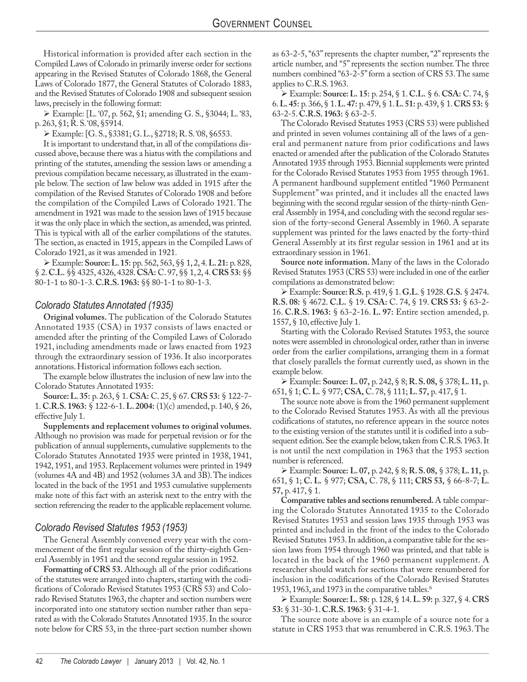Historical information is provided after each section in the Compiled Laws of Colorado in primarily inverse order for sections appearing in the Revised Statutes of Colorado 1868, the General Laws of Colorado 1877, the General Statutes of Colorado 1883, and the Revised Statutes of Colorado 1908 and subsequent session laws, precisely in the following format:

 Example: [L. '07, p. 562, §1; amending G. S., §3044; L. '83, p. 263, §1; R. S. '08, §5914.

Example: [G. S., §3381; G. L., §2718; R. S. '08, §6553.

It is important to understand that, in all of the compilations discussed above, because there was a hiatus with the compilations and printing of the statutes, amending the session laws or amending a previous compilation became necessary, as illustrated in the example below. The section of law below was added in 1915 after the compilation of the Revised Statutes of Colorado 1908 and before the compilation of the Compiled Laws of Colorado 1921. The amendment in 1921 was made to the session laws of 1915 because it was the only place in which the section, as amended, was printed. This is typical with all of the earlier compilations of the statutes. The section, as enacted in 1915, appears in the Compiled Laws of Colorado 1921, as it was amended in 1921.

 Example: **Source: L. 15:** pp. 562, 563, §§ 1, 2, 4. **L. 21:** p. 828, § 2. **C.L.** §§ 4325, 4326, 4328. **CSA:** C. 97, §§ 1, 2, 4. **CRS 53:** §§ 80-1-1 to 80-1-3. **C.R.S. 1963:** §§ 80-1-1 to 80-1-3.

#### *Colorado Statutes Annotated (1935)*

**Original volumes.** The publication of the Colorado Statutes Annotated 1935 (CSA) in 1937 consists of laws enacted or amended after the printing of the Compiled Laws of Colorado 1921, including amendments made or laws enacted from 1923 through the extraordinary session of 1936. It also incorporates annotations. Historical information follows each section.

The example below illustrates the inclusion of new law into the Colorado Statutes Annotated 1935:

**Source: L. 35:** p. 263, § 1. **CSA:** C. 25, § 67. **CRS 53:** § 122-7- 1. **C.R.S. 1963:** § 122-6-1. **L. 2004:** (1)(c) amended, p. 140, § 26, effective July 1.

**Supplements and replacement volumes to original volumes.** Although no provision was made for perpetual revision or for the publication of annual supplements, cumulative supplements to the Colorado Statutes Annotated 1935 were printed in 1938, 1941, 1942, 1951, and 1953. Replacement volumes were printed in 1949 (volumes 4A and 4B) and 1952 (volumes 3A and 3B). The indices located in the back of the 1951 and 1953 cumulative supplements make note of this fact with an asterisk next to the entry with the section referencing the reader to the applicable replacement volume.

#### *Colorado Revised Statutes 1953 (1953)*

The General Assembly convened every year with the commencement of the first regular session of the thirty-eighth General Assembly in 1951 and the second regular session in 1952.

**Formatting of CRS 53.** Although all of the prior codifications of the statutes were arranged into chapters, starting with the codifications of Colorado Revised Statutes 1953 (CRS 53) and Colorado Revised Statutes 1963, the chapter and section numbers were incorporated into one statutory section number rather than separated as with the Colorado Statutes Annotated 1935. In the source note below for CRS 53, in the three-part section number shown as 63-2-5, "63" represents the chapter number, "2" represents the article number, and "5" represents the section number. The three numbers combined "63-2-5" form a section of CRS 53. The same applies to C.R.S. 1963.

 Example: **Source: L. 15:** p. 254, § 1. **C.L.** § 6. **CSA:** C. 74, § 6. **L. 45:** p. 366, § 1. **L. 47:** p. 479, § 1. **L. 51:** p. 439, § 1. **CRS 53:** § 63-2-5. **C.R.S. 1963:** § 63-2-5.

The Colorado Revised Statutes 1953 (CRS 53) were published and printed in seven volumes containing all of the laws of a general and permanent nature from prior codifications and laws enacted or amended after the publication of the Colorado Statutes Annotated 1935 through 1953. Biennial supplements were printed for the Colorado Revised Statutes 1953 from 1955 through 1961. A permanent hardbound supplement entitled "1960 Permanent Supplement" was printed, and it includes all the enacted laws beginning with the second regular session of the thirty-ninth General Assembly in 1954, and concluding with the second regular session of the forty-second General Assembly in 1960. A separate supplement was printed for the laws enacted by the forty-third General Assembly at its first regular session in 1961 and at its extraordinary session in 1961.

**Source note information.** Many of the laws in the Colorado Revised Statutes 1953 (CRS 53) were included in one of the earlier compilations as demonstrated below:

 Example: **Source: R.S.** p. 419, § 1. **G.L**. § 1928. **G.S.** § 2474**. R.S. 08:** § 4672. **C.L.** § 19. **CSA:** C. 74, § 19. **CRS 53:** § 63-2- 16. **C.R.S. 1963:** § 63-2-16. **L. 97:** Entire section amended, p. 1557, § 10, effective July 1.

Starting with the Colorado Revised Statutes 1953, the source notes were assembled in chronological order, rather than in inverse order from the earlier compilations, arranging them in a format that closely parallels the format currently used, as shown in the example below.

 Example: **Source: L. 07,** p. 242, § 8; **R. S. 08,** § 378; **L. 11,** p. 651, § 1; **C. L.** § 977; **CSA,** C. 78, § 111; **L. 57,** p. 417, § 1.

The source note above is from the 1960 permanent supplement to the Colorado Revised Statutes 1953. As with all the previous codifications of statutes, no reference appears in the source notes to the existing version of the statutes until it is codified into a subsequent edition. See the example below, taken from C.R.S. 1963. It is not until the next compilation in 1963 that the 1953 section number is referenced.

 Example: **Source: L. 07,** p. 242, § 8; **R. S. 08,** § 378; **L. 11,** p. 651, § 1; **C. L.** § 977; **CSA,** C. 78, § 111; **CRS 53,** § 66-8-7; **L. 57,** p. 417, § 1.

**Comparative tables and sections renumbered.** A table comparing the Colorado Statutes Annotated 1935 to the Colorado Revised Statutes 1953 and session laws 1935 through 1953 was printed and included in the front of the index to the Colorado Revised Statutes 1953. In addition, a comparative table for the session laws from 1954 through 1960 was printed, and that table is located in the back of the 1960 permanent supplement. A researcher should watch for sections that were renumbered for inclusion in the codifications of the Colorado Revised Statutes 1953, 1963, and 1973 in the comparative tables.<sup>6</sup>

 Example: **Source: L. 58:** p. 128, § 14. **L. 59:** p. 327, § 4. **CRS 53:** § 31-30-1. **C.R.S. 1963:** § 31-4-1.

The source note above is an example of a source note for a statute in CRS 1953 that was renumbered in C.R.S. 1963. The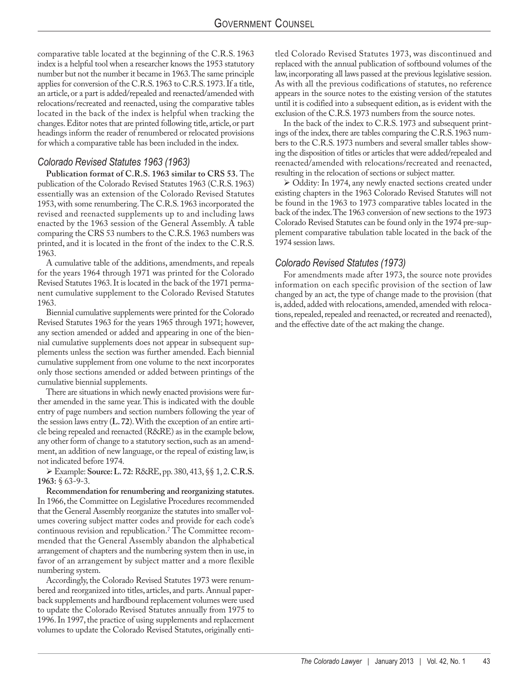comparative table located at the beginning of the C.R.S. 1963 index is a helpful tool when a researcher knows the 1953 statutory number but not the number it became in 1963. The same principle applies for conversion of the C.R.S. 1963 to C.R.S. 1973. If a title, an article, or a part is added/repealed and reenacted/amended with relocations/recreated and reenacted, using the comparative tables located in the back of the index is helpful when tracking the changes. Editor notes that are printed following title, article, or part headings inform the reader of renumbered or relocated provisions for which a comparative table has been included in the index.

#### *Colorado Revised Statutes 1963 (1963)*

**Publication format of C.R.S. 1963 similar to CRS 53.** The publication of the Colorado Revised Statutes 1963 (C.R.S. 1963) essentially was an extension of the Colorado Revised Statutes 1953, with some renumbering. The C.R.S. 1963 incorporated the revised and reenacted supplements up to and including laws enacted by the 1963 session of the General Assembly. A table comparing the CRS 53 numbers to the C.R.S. 1963 numbers was printed, and it is located in the front of the index to the C.R.S. 1963.

A cumulative table of the additions, amendments, and repeals for the years 1964 through 1971 was printed for the Colorado Revised Statutes 1963. It is located in the back of the 1971 permanent cumulative supplement to the Colorado Revised Statutes 1963.

Biennial cumulative supplements were printed for the Colorado Revised Statutes 1963 for the years 1965 through 1971; however, any section amended or added and appearing in one of the biennial cumulative supplements does not appear in subsequent supplements unless the section was further amended. Each biennial cumulative supplement from one volume to the next incorporates only those sections amended or added between printings of the cumulative biennial supplements.

There are situations in which newly enacted provisions were further amended in the same year. This is indicated with the double entry of page numbers and section numbers following the year of the session laws entry (**L. 72**). With the exception of an entire article being repealed and reenacted (R&RE) as in the example below, any other form of change to a statutory section, such as an amendment, an addition of new language, or the repeal of existing law, is not indicated before 1974.

 Example: **Source: L. 72:** R&RE, pp. 380, 413, §§ 1, 2. **C.R.S. 1963:** § 63-9-3.

**Recommendation for renumbering and reorganizing statutes.** In 1966, the Committee on Legislative Procedures recommended that the General Assembly reorganize the statutes into smaller volumes covering subject matter codes and provide for each code's continuous revision and republication.7 The Committee recommended that the General Assembly abandon the alphabetical arrangement of chapters and the numbering system then in use, in favor of an arrangement by subject matter and a more flexible numbering system.

Accordingly, the Colorado Revised Statutes 1973 were renumbered and reorganized into titles, articles, and parts. Annual paperback supplements and hardbound replacement volumes were used to update the Colorado Revised Statutes annually from 1975 to 1996. In 1997, the practice of using supplements and replacement volumes to update the Colorado Revised Statutes, originally enti-

tled Colorado Revised Statutes 1973, was discontinued and replaced with the annual publication of softbound volumes of the law, incorporating all laws passed at the previous legislative session. As with all the previous codifications of statutes, no reference appears in the source notes to the existing version of the statutes until it is codified into a subsequent edition, as is evident with the exclusion of the C.R.S. 1973 numbers from the source notes.

In the back of the index to C.R.S. 1973 and subsequent printings of the index, there are tables comparing the C.R.S. 1963 numbers to the C.R.S. 1973 numbers and several smaller tables showing the disposition of titles or articles that were added/repealed and reenacted/amended with relocations/recreated and reenacted, resulting in the relocation of sections or subject matter.

 Oddity: In 1974, any newly enacted sections created under existing chapters in the 1963 Colorado Revised Statutes will not be found in the 1963 to 1973 comparative tables located in the back of the index. The 1963 conversion of new sections to the 1973 Colorado Revised Statutes can be found only in the 1974 pre-supplement comparative tabulation table located in the back of the 1974 session laws.

### *Colorado Revised Statutes (1973)*

For amendments made after 1973, the source note provides information on each specific provision of the section of law changed by an act, the type of change made to the provision (that is, added, added with relocations, amended, amended with relocations, repealed, repealed and reenacted, or recreated and reenacted), and the effective date of the act making the change.